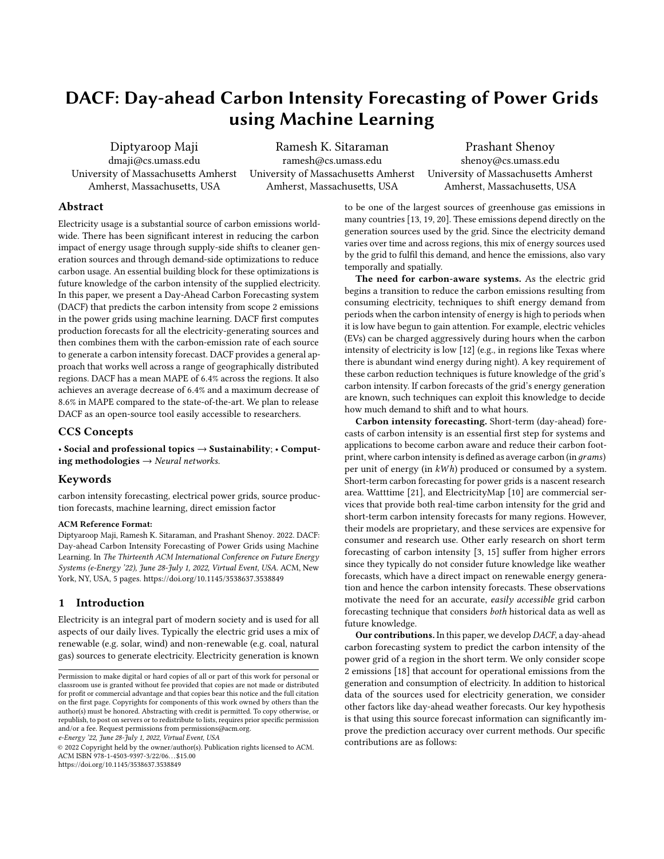# DACF: Day-ahead Carbon Intensity Forecasting of Power Grids using Machine Learning

Diptyaroop Maji dmaji@cs.umass.edu University of Massachusetts Amherst Amherst, Massachusetts, USA

Ramesh K. Sitaraman ramesh@cs.umass.edu University of Massachusetts Amherst Amherst, Massachusetts, USA

Prashant Shenoy shenoy@cs.umass.edu University of Massachusetts Amherst Amherst, Massachusetts, USA

# Abstract

Electricity usage is a substantial source of carbon emissions worldwide. There has been significant interest in reducing the carbon impact of energy usage through supply-side shifts to cleaner generation sources and through demand-side optimizations to reduce carbon usage. An essential building block for these optimizations is future knowledge of the carbon intensity of the supplied electricity. In this paper, we present a Day-Ahead Carbon Forecasting system (DACF) that predicts the carbon intensity from scope 2 emissions in the power grids using machine learning. DACF first computes production forecasts for all the electricity-generating sources and then combines them with the carbon-emission rate of each source to generate a carbon intensity forecast. DACF provides a general approach that works well across a range of geographically distributed regions. DACF has a mean MAPE of 6.4% across the regions. It also achieves an average decrease of 6.4% and a maximum decrease of 8.6% in MAPE compared to the state-of-the-art. We plan to release DACF as an open-source tool easily accessible to researchers.

## CCS Concepts

• Social and professional topics  $\rightarrow$  Sustainability; • Computing methodologies  $\rightarrow$  Neural networks.

## Keywords

carbon intensity forecasting, electrical power grids, source production forecasts, machine learning, direct emission factor

#### ACM Reference Format:

Diptyaroop Maji, Ramesh K. Sitaraman, and Prashant Shenoy. 2022. DACF: Day-ahead Carbon Intensity Forecasting of Power Grids using Machine Learning. In The Thirteenth ACM International Conference on Future Energy Systems (e-Energy '22), June 28-July 1, 2022, Virtual Event, USA. ACM, New York, NY, USA, [5](#page-4-0) pages.<https://doi.org/10.1145/3538637.3538849>

## 1 Introduction

Electricity is an integral part of modern society and is used for all aspects of our daily lives. Typically the electric grid uses a mix of renewable (e.g. solar, wind) and non-renewable (e.g. coal, natural gas) sources to generate electricity. Electricity generation is known

e-Energy '22, June 28-July 1, 2022, Virtual Event, USA

© 2022 Copyright held by the owner/author(s). Publication rights licensed to ACM. ACM ISBN 978-1-4503-9397-3/22/06. . . \$15.00 <https://doi.org/10.1145/3538637.3538849>

to be one of the largest sources of greenhouse gas emissions in many countries [\[13,](#page-4-1) [19,](#page-4-2) [20\]](#page-4-3). These emissions depend directly on the generation sources used by the grid. Since the electricity demand varies over time and across regions, this mix of energy sources used by the grid to fulfil this demand, and hence the emissions, also vary temporally and spatially.

The need for carbon-aware systems. As the electric grid begins a transition to reduce the carbon emissions resulting from consuming electricity, techniques to shift energy demand from periods when the carbon intensity of energy is high to periods when it is low have begun to gain attention. For example, electric vehicles (EVs) can be charged aggressively during hours when the carbon intensity of electricity is low [\[12\]](#page-4-4) (e.g., in regions like Texas where there is abundant wind energy during night). A key requirement of these carbon reduction techniques is future knowledge of the grid's carbon intensity. If carbon forecasts of the grid's energy generation are known, such techniques can exploit this knowledge to decide how much demand to shift and to what hours.

Carbon intensity forecasting. Short-term (day-ahead) forecasts of carbon intensity is an essential first step for systems and applications to become carbon aware and reduce their carbon footprint, where carbon intensity is defined as average carbon (in grams) per unit of energy (in  $kWh$ ) produced or consumed by a system. Short-term carbon forecasting for power grids is a nascent research area. Watttime [\[21\]](#page-4-5), and ElectricityMap [\[10\]](#page-4-6) are commercial services that provide both real-time carbon intensity for the grid and short-term carbon intensity forecasts for many regions. However, their models are proprietary, and these services are expensive for consumer and research use. Other early research on short term forecasting of carbon intensity [\[3,](#page-4-7) [15\]](#page-4-8) suffer from higher errors since they typically do not consider future knowledge like weather forecasts, which have a direct impact on renewable energy generation and hence the carbon intensity forecasts. These observations motivate the need for an accurate, easily accessible grid carbon forecasting technique that considers both historical data as well as future knowledge.

Our contributions. In this paper, we develop DACF, a day-ahead carbon forecasting system to predict the carbon intensity of the power grid of a region in the short term. We only consider scope 2 emissions [\[18\]](#page-4-9) that account for operational emissions from the generation and consumption of electricity. In addition to historical data of the sources used for electricity generation, we consider other factors like day-ahead weather forecasts. Our key hypothesis is that using this source forecast information can significantly improve the prediction accuracy over current methods. Our specific contributions are as follows:

Permission to make digital or hard copies of all or part of this work for personal or classroom use is granted without fee provided that copies are not made or distributed for profit or commercial advantage and that copies bear this notice and the full citation on the first page. Copyrights for components of this work owned by others than the author(s) must be honored. Abstracting with credit is permitted. To copy otherwise, or republish, to post on servers or to redistribute to lists, requires prior specific permission and/or a fee. Request permissions from permissions@acm.org.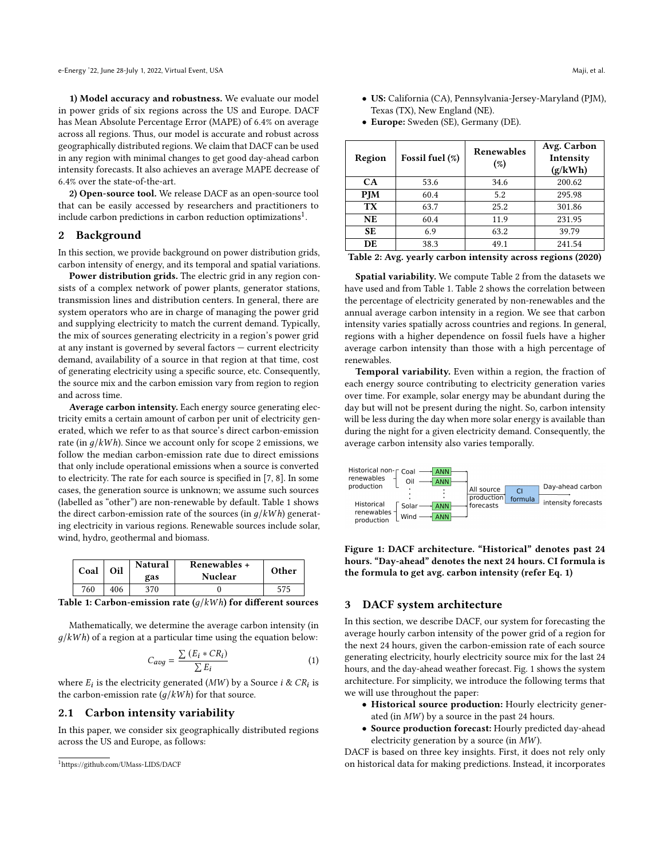1) Model accuracy and robustness. We evaluate our model in power grids of six regions across the US and Europe. DACF has Mean Absolute Percentage Error (MAPE) of 6.4% on average across all regions. Thus, our model is accurate and robust across geographically distributed regions. We claim that DACF can be used in any region with minimal changes to get good day-ahead carbon intensity forecasts. It also achieves an average MAPE decrease of 6.4% over the state-of-the-art.

2) Open-source tool. We release DACF as an open-source tool that can be easily accessed by researchers and practitioners to include carbon predictions in carbon reduction optimizations $^1$  $^1$ .

#### 2 Background

In this section, we provide background on power distribution grids, carbon intensity of energy, and its temporal and spatial variations.

Power distribution grids. The electric grid in any region consists of a complex network of power plants, generator stations, transmission lines and distribution centers. In general, there are system operators who are in charge of managing the power grid and supplying electricity to match the current demand. Typically, the mix of sources generating electricity in a region's power grid at any instant is governed by several factors — current electricity demand, availability of a source in that region at that time, cost of generating electricity using a specific source, etc. Consequently, the source mix and the carbon emission vary from region to region and across time.

Average carbon intensity. Each energy source generating electricity emits a certain amount of carbon per unit of electricity generated, which we refer to as that source's direct carbon-emission rate (in  $g/kWh$ ). Since we account only for scope 2 emissions, we follow the median carbon-emission rate due to direct emissions that only include operational emissions when a source is converted to electricity. The rate for each source is specified in [\[7,](#page-4-10) [8\]](#page-4-11). In some cases, the generation source is unknown; we assume such sources (labelled as "other") are non-renewable by default. Table [1](#page-1-1) shows the direct carbon-emission rate of the sources (in  $g/kWh$ ) generating electricity in various regions. Renewable sources include solar, wind, hydro, geothermal and biomass.

<span id="page-1-1"></span>

| Coal | Oil | <b>Natural</b><br>gas | Renewables +<br><b>Nuclear</b> | Other |
|------|-----|-----------------------|--------------------------------|-------|
| 760  | 406 | 370                   |                                | 575   |

Table 1: Carbon-emission rate  $(g/kWh)$  for different sources

Mathematically, we determine the average carbon intensity (in  $g/kWh$ ) of a region at a particular time using the equation below:

<span id="page-1-3"></span>
$$
C_{avg} = \frac{\sum (E_i * CR_i)}{\sum E_i} \tag{1}
$$

where  $E_i$  is the electricity generated (MW) by a Source  $i \& CR_i$  is the carbon-emission rate  $(q/kWh)$  for that source.

#### 2.1 Carbon intensity variability

In this paper, we consider six geographically distributed regions across the US and Europe, as follows:

- US: California (CA), Pennsylvania-Jersey-Maryland (PJM), Texas (TX), New England (NE).
- Europe: Sweden (SE), Germany (DE).

<span id="page-1-2"></span>

| Region     | Fossil fuel (%) | Renewables<br>(%) | Avg. Carbon<br>Intensity<br>(g/kWh) |
|------------|-----------------|-------------------|-------------------------------------|
| <b>CA</b>  | 53.6            | 34.6              | 200.62                              |
| <b>PJM</b> | 60.4            | 5.2               | 295.98                              |
| <b>TX</b>  | 63.7            | 25.2              | 301.86                              |
| <b>NE</b>  | 60.4            | 11.9              | 231.95                              |
| SE.        | 6.9             | 63.2              | 39.79                               |
| DE         | 38.3            | 49.1              | 241.54                              |

Spatial variability. We compute Table [2](#page-1-2) from the datasets we have used and from Table [1.](#page-1-1) Table [2](#page-1-2) shows the correlation between the percentage of electricity generated by non-renewables and the annual average carbon intensity in a region. We see that carbon intensity varies spatially across countries and regions. In general, regions with a higher dependence on fossil fuels have a higher average carbon intensity than those with a high percentage of renewables.

Temporal variability. Even within a region, the fraction of each energy source contributing to electricity generation varies over time. For example, solar energy may be abundant during the day but will not be present during the night. So, carbon intensity will be less during the day when more solar energy is available than during the night for a given electricity demand. Consequently, the average carbon intensity also varies temporally.

<span id="page-1-4"></span>

Figure 1: DACF architecture. "Historical" denotes past 24 hours. "Day-ahead" denotes the next 24 hours. CI formula is the formula to get avg. carbon intensity (refer Eq. [1\)](#page-1-3)

#### 3 DACF system architecture

In this section, we describe DACF, our system for forecasting the average hourly carbon intensity of the power grid of a region for the next 24 hours, given the carbon-emission rate of each source generating electricity, hourly electricity source mix for the last 24 hours, and the day-ahead weather forecast. Fig. [1](#page-1-4) shows the system architecture. For simplicity, we introduce the following terms that we will use throughout the paper:

- Historical source production: Hourly electricity generated (in  $MW$ ) by a source in the past 24 hours.
- Source production forecast: Hourly predicted day-ahead electricity generation by a source (in  $MW$ ).

DACF is based on three key insights. First, it does not rely only on historical data for making predictions. Instead, it incorporates

<span id="page-1-0"></span><sup>1</sup><https://github.com/UMass-LIDS/DACF>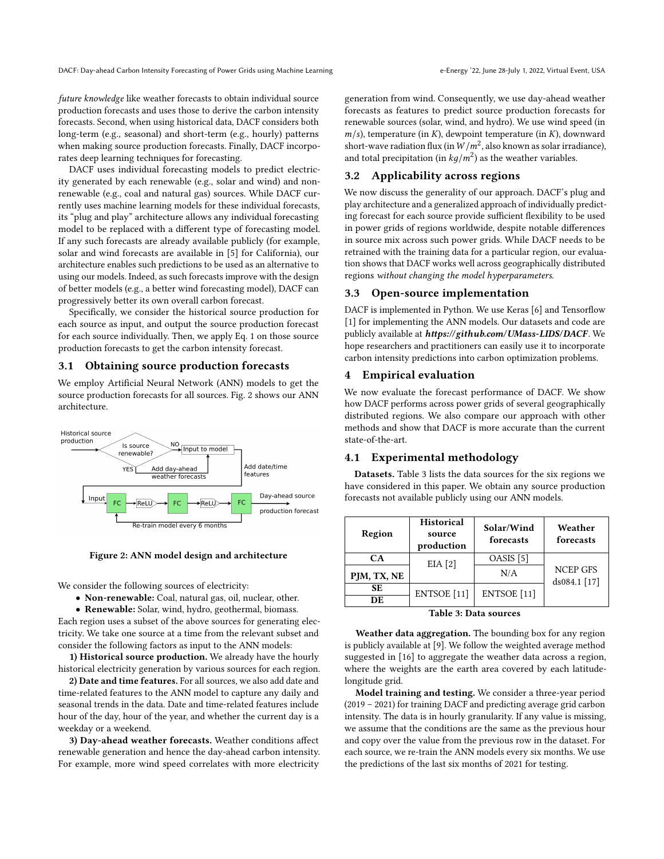DACF: Day-ahead Carbon Intensity Forecasting of Power Grids using Machine Learning e-Energy '22, June 28-July 1, 2022, Virtual Event, USA

future knowledge like weather forecasts to obtain individual source production forecasts and uses those to derive the carbon intensity forecasts. Second, when using historical data, DACF considers both long-term (e.g., seasonal) and short-term (e.g., hourly) patterns when making source production forecasts. Finally, DACF incorporates deep learning techniques for forecasting.

DACF uses individual forecasting models to predict electricity generated by each renewable (e.g., solar and wind) and nonrenewable (e.g., coal and natural gas) sources. While DACF currently uses machine learning models for these individual forecasts, its "plug and play" architecture allows any individual forecasting model to be replaced with a different type of forecasting model. If any such forecasts are already available publicly (for example, solar and wind forecasts are available in [\[5\]](#page-4-12) for California), our architecture enables such predictions to be used as an alternative to using our models. Indeed, as such forecasts improve with the design of better models (e.g., a better wind forecasting model), DACF can progressively better its own overall carbon forecast.

Specifically, we consider the historical source production for each source as input, and output the source production forecast for each source individually. Then, we apply Eq. [1](#page-1-3) on those source production forecasts to get the carbon intensity forecast.

#### 3.1 Obtaining source production forecasts

We employ Artificial Neural Network (ANN) models to get the source production forecasts for all sources. Fig. [2](#page-2-0) shows our ANN architecture.

<span id="page-2-0"></span>

Figure 2: ANN model design and architecture

We consider the following sources of electricity:

• Non-renewable: Coal, natural gas, oil, nuclear, other.

• Renewable: Solar, wind, hydro, geothermal, biomass.

Each region uses a subset of the above sources for generating electricity. We take one source at a time from the relevant subset and consider the following factors as input to the ANN models:

1) Historical source production. We already have the hourly historical electricity generation by various sources for each region.

2) Date and time features. For all sources, we also add date and time-related features to the ANN model to capture any daily and seasonal trends in the data. Date and time-related features include hour of the day, hour of the year, and whether the current day is a weekday or a weekend.

3) Day-ahead weather forecasts. Weather conditions affect renewable generation and hence the day-ahead carbon intensity. For example, more wind speed correlates with more electricity

generation from wind. Consequently, we use day-ahead weather forecasts as features to predict source production forecasts for renewable sources (solar, wind, and hydro). We use wind speed (in  $m/s$ , temperature (in K), dewpoint temperature (in K), downward short-wave radiation flux (in  $W/m^2$ , also known as solar irradiance), and total precipitation (in  $kg/m^2$ ) as the weather variables.

## 3.2 Applicability across regions

We now discuss the generality of our approach. DACF's plug and play architecture and a generalized approach of individually predicting forecast for each source provide sufficient flexibility to be used in power grids of regions worldwide, despite notable differences in source mix across such power grids. While DACF needs to be retrained with the training data for a particular region, our evaluation shows that DACF works well across geographically distributed regions without changing the model hyperparameters.

## 3.3 Open-source implementation

DACF is implemented in Python. We use Keras [\[6\]](#page-4-13) and Tensorflow [\[1\]](#page-4-14) for implementing the ANN models. Our datasets and code are publicly available at <https://github.com/UMass-LIDS/DACF>. We hope researchers and practitioners can easily use it to incorporate carbon intensity predictions into carbon optimization problems.

# 4 Empirical evaluation

We now evaluate the forecast performance of DACF. We show how DACF performs across power grids of several geographically distributed regions. We also compare our approach with other methods and show that DACF is more accurate than the current state-of-the-art.

## 4.1 Experimental methodology

Datasets. Table [3](#page-2-1) lists the data sources for the six regions we have considered in this paper. We obtain any source production forecasts not available publicly using our ANN models.

<span id="page-2-1"></span>

| Region          | <b>Historical</b><br>source<br>production | Solar/Wind<br>forecasts | Weather<br>forecasts            |  |
|-----------------|-------------------------------------------|-------------------------|---------------------------------|--|
| <b>CA</b>       | EIA $[2]$                                 | OASIS [5]               |                                 |  |
| PJM, TX, NE     |                                           | N/A                     | <b>NCEP GFS</b><br>ds084.1 [17] |  |
| <b>SE</b><br>DE | ENTSOE <sup>[11]</sup>                    | ENTSOE <sup>[11]</sup>  |                                 |  |

Table 3: Data sources

Weather data aggregation. The bounding box for any region is publicly available at [\[9\]](#page-4-18). We follow the weighted average method suggested in [\[16\]](#page-4-19) to aggregate the weather data across a region, where the weights are the earth area covered by each latitudelongitude grid.

Model training and testing. We consider a three-year period (2019 – 2021) for training DACF and predicting average grid carbon intensity. The data is in hourly granularity. If any value is missing, we assume that the conditions are the same as the previous hour and copy over the value from the previous row in the dataset. For each source, we re-train the ANN models every six months. We use the predictions of the last six months of 2021 for testing.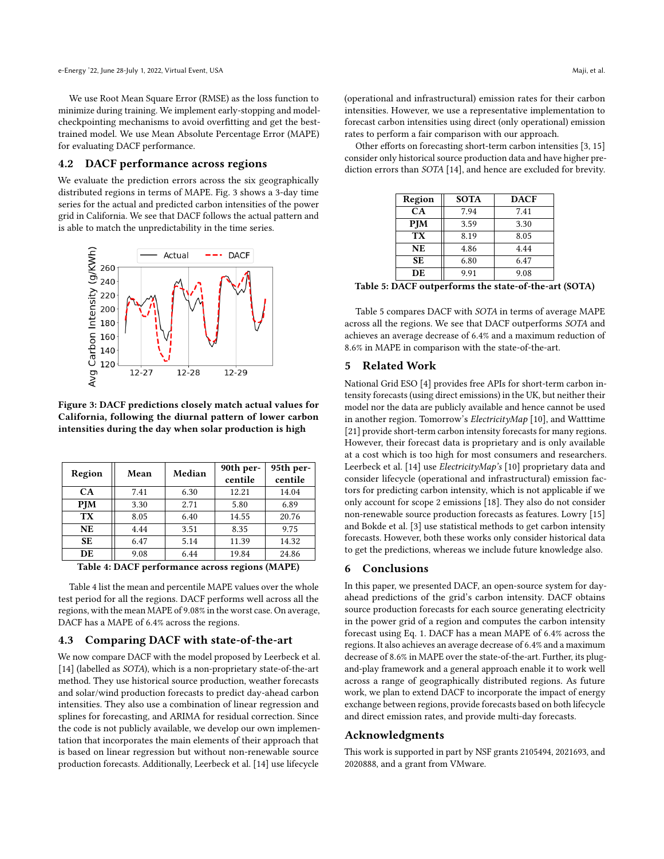We use Root Mean Square Error (RMSE) as the loss function to minimize during training. We implement early-stopping and modelcheckpointing mechanisms to avoid overfitting and get the besttrained model. We use Mean Absolute Percentage Error (MAPE) for evaluating DACF performance.

#### 4.2 DACF performance across regions

We evaluate the prediction errors across the six geographically distributed regions in terms of MAPE. Fig. [3](#page-3-0) shows a 3-day time series for the actual and predicted carbon intensities of the power grid in California. We see that DACF follows the actual pattern and is able to match the unpredictability in the time series.

<span id="page-3-0"></span>

Figure 3: DACF predictions closely match actual values for California, following the diurnal pattern of lower carbon intensities during the day when solar production is high

<span id="page-3-1"></span>

| Region     | Mean | Median | 90th per-<br>centile | 95th per-<br>centile |
|------------|------|--------|----------------------|----------------------|
| CA         | 7.41 | 6.30   | 12.21                | 14.04                |
| <b>PIM</b> | 3.30 | 2.71   | 5.80                 | 6.89                 |
| <b>TX</b>  | 8.05 | 6.40   | 14.55                | 20.76                |
| <b>NE</b>  | 4.44 | 3.51   | 8.35                 | 9.75                 |
| SE.        | 6.47 | 5.14   | 11.39                | 14.32                |
| DE         | 9.08 | 6.44   | 19.84                | 24.86                |

Table 4: DACF performance across regions (MAPE)

Table [4](#page-3-1) list the mean and percentile MAPE values over the whole test period for all the regions. DACF performs well across all the regions, with the mean MAPE of 9.08% in the worst case. On average, DACF has a MAPE of 6.4% across the regions.

#### 4.3 Comparing DACF with state-of-the-art

We now compare DACF with the model proposed by Leerbeck et al. [\[14\]](#page-4-20) (labelled as SOTA), which is a non-proprietary state-of-the-art method. They use historical source production, weather forecasts and solar/wind production forecasts to predict day-ahead carbon intensities. They also use a combination of linear regression and splines for forecasting, and ARIMA for residual correction. Since the code is not publicly available, we develop our own implementation that incorporates the main elements of their approach that is based on linear regression but without non-renewable source production forecasts. Additionally, Leerbeck et al. [\[14\]](#page-4-20) use lifecycle

(operational and infrastructural) emission rates for their carbon intensities. However, we use a representative implementation to forecast carbon intensities using direct (only operational) emission rates to perform a fair comparison with our approach.

<span id="page-3-2"></span>Other efforts on forecasting short-term carbon intensities [\[3,](#page-4-7) [15\]](#page-4-8) consider only historical source production data and have higher prediction errors than SOTA [\[14\]](#page-4-20), and hence are excluded for brevity.

| Region          | <b>SOTA</b> | <b>DACF</b> |
|-----------------|-------------|-------------|
| <b>CA</b>       | 7.94        | 7.41        |
| <b>PJM</b>      | 3.59        | 3.30        |
| TX <sup>-</sup> | 8.19        | 8.05        |
| <b>NE</b>       | 4.86        | 4.44        |
| <b>SE</b>       | 6.80        | 6.47        |
| DE              | 9.91        | 9.08        |

Table 5: DACF outperforms the state-of-the-art (SOTA)

Table [5](#page-3-2) compares DACF with SOTA in terms of average MAPE across all the regions. We see that DACF outperforms SOTA and achieves an average decrease of 6.4% and a maximum reduction of 8.6% in MAPE in comparison with the state-of-the-art.

### 5 Related Work

National Grid ESO [\[4\]](#page-4-21) provides free APIs for short-term carbon intensity forecasts (using direct emissions) in the UK, but neither their model nor the data are publicly available and hence cannot be used in another region. Tomorrow's *ElectricityMap* [\[10\]](#page-4-6), and Watttime [\[21\]](#page-4-5) provide short-term carbon intensity forecasts for many regions. However, their forecast data is proprietary and is only available at a cost which is too high for most consumers and researchers. Leerbeck et al. [\[14\]](#page-4-20) use *ElectricityMap's* [\[10\]](#page-4-6) proprietary data and consider lifecycle (operational and infrastructural) emission factors for predicting carbon intensity, which is not applicable if we only account for scope 2 emissions [\[18\]](#page-4-9). They also do not consider non-renewable source production forecasts as features. Lowry [\[15\]](#page-4-8) and Bokde et al. [\[3\]](#page-4-7) use statistical methods to get carbon intensity forecasts. However, both these works only consider historical data to get the predictions, whereas we include future knowledge also.

#### 6 Conclusions

In this paper, we presented DACF, an open-source system for dayahead predictions of the grid's carbon intensity. DACF obtains source production forecasts for each source generating electricity in the power grid of a region and computes the carbon intensity forecast using Eq. [1.](#page-1-3) DACF has a mean MAPE of 6.4% across the regions. It also achieves an average decrease of 6.4% and a maximum decrease of 8.6% in MAPE over the state-of-the-art. Further, its plugand-play framework and a general approach enable it to work well across a range of geographically distributed regions. As future work, we plan to extend DACF to incorporate the impact of energy exchange between regions, provide forecasts based on both lifecycle and direct emission rates, and provide multi-day forecasts.

#### Acknowledgments

This work is supported in part by NSF grants 2105494, 2021693, and 2020888, and a grant from VMware.